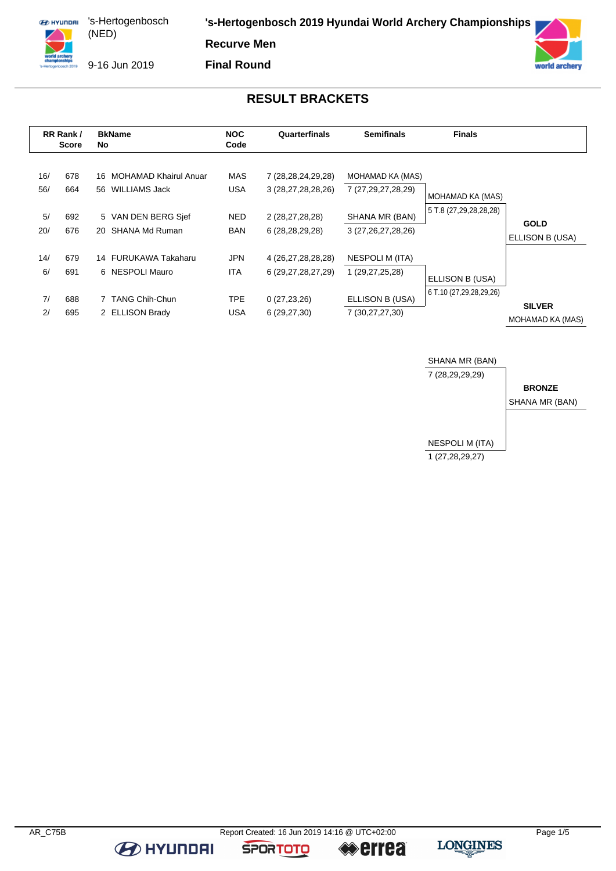**ED HYUNDRI** 's-Hertogenbosch (NED) 

**'s-Hertogenbosch 2019 Hyundai World Archery Championships**

**Recurve Men**

9-16 Jun 2019

**Final Round**



### **RESULT BRACKETS**

| RR Rank/<br><b>Score</b> |                          | <b>BkName</b><br>No.                                                                                      | <b>NOC</b><br>Code                      | Quarterfinals                                                                     | <b>Semifinals</b>                                                              | <b>Finals</b>                              |                                |
|--------------------------|--------------------------|-----------------------------------------------------------------------------------------------------------|-----------------------------------------|-----------------------------------------------------------------------------------|--------------------------------------------------------------------------------|--------------------------------------------|--------------------------------|
| 16/<br>56/<br>5/<br>20/  | 678<br>664<br>692<br>676 | <b>MOHAMAD Khairul Anuar</b><br>16<br>WILLIAMS Jack<br>56<br>5 VAN DEN BERG Sief<br>SHANA Md Ruman<br>20. | MAS<br><b>USA</b><br>NED.<br><b>BAN</b> | 7 (28,28,24,29,28)<br>3 (28,27,28,28,26)<br>2 (28,27,28,28)<br>6 (28, 28, 29, 28) | MOHAMAD KA (MAS)<br>7 (27,29,27,28,29)<br>SHANA MR (BAN)<br>3 (27,26,27,28,26) | MOHAMAD KA (MAS)<br>5 T.8 (27,29,28,28,28) | <b>GOLD</b><br>ELLISON B (USA) |
| 14/                      | 679                      | 14 FURUKAWA Takaharu                                                                                      | <b>JPN</b>                              | 4 (26,27,28,28,28)                                                                | NESPOLI M (ITA)                                                                | ELLISON B (USA)                            |                                |
| 6/                       | 691                      | 6 NESPOLI Mauro                                                                                           | <b>ITA</b>                              | 6 (29,27,28,27,29)                                                                | 1 (29,27,25,28)                                                                | 6 T.10 (27,29,28,29,26)                    |                                |
| 7/                       | 688                      | 7 TANG Chih-Chun                                                                                          | <b>TPE</b>                              | 0(27, 23, 26)                                                                     | ELLISON B (USA)                                                                |                                            | <b>SILVER</b>                  |
| 2/                       | 695                      | 2 ELLISON Brady                                                                                           | <b>USA</b>                              | 6(29, 27, 30)                                                                     | 7 (30,27,27,30)                                                                |                                            | MOHAMAD KA (MAS)               |



**B** HYUNDAI

**SPORTOTO** 

**errea** 

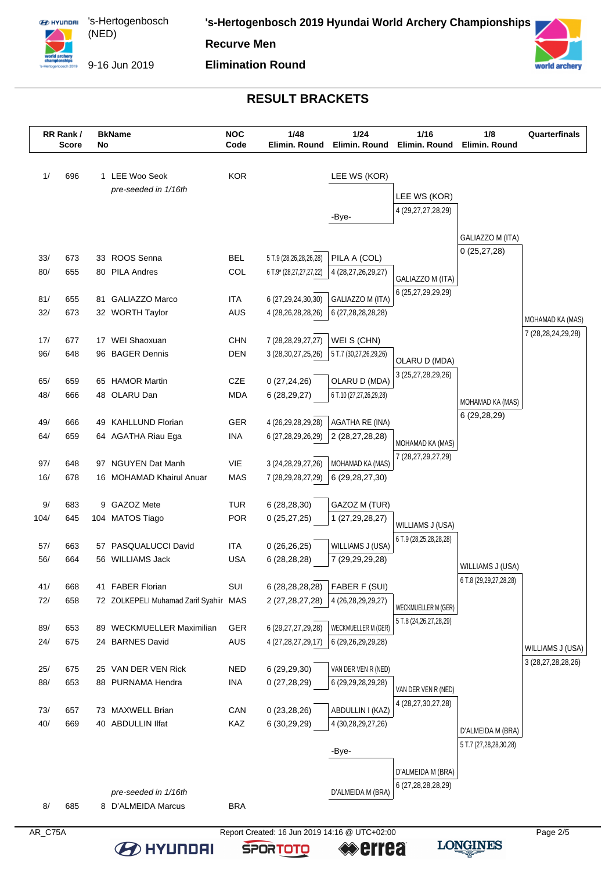

's-Hertogenbosch (NED) 

**'s-Hertogenbosch 2019 Hyundai World Archery Championships**

**Recurve Men**

9-16 Jun 2019

**Elimination Round**



#### **RESULT BRACKETS**



**BO HYUNDAI** 

**SPORTOTO** 

≪errea

**LONGINES**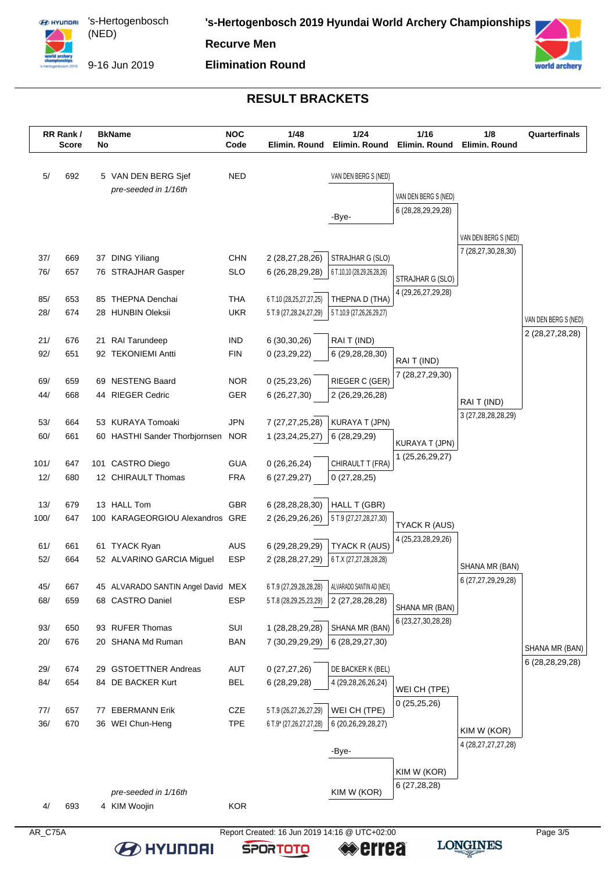

's-Hertogenbosch (NED) 

**'s-Hertogenbosch 2019 Hyundai World Archery Championships**

**Recurve Men**

9-16 Jun 2019

**Elimination Round**



### **RESULT BRACKETS**

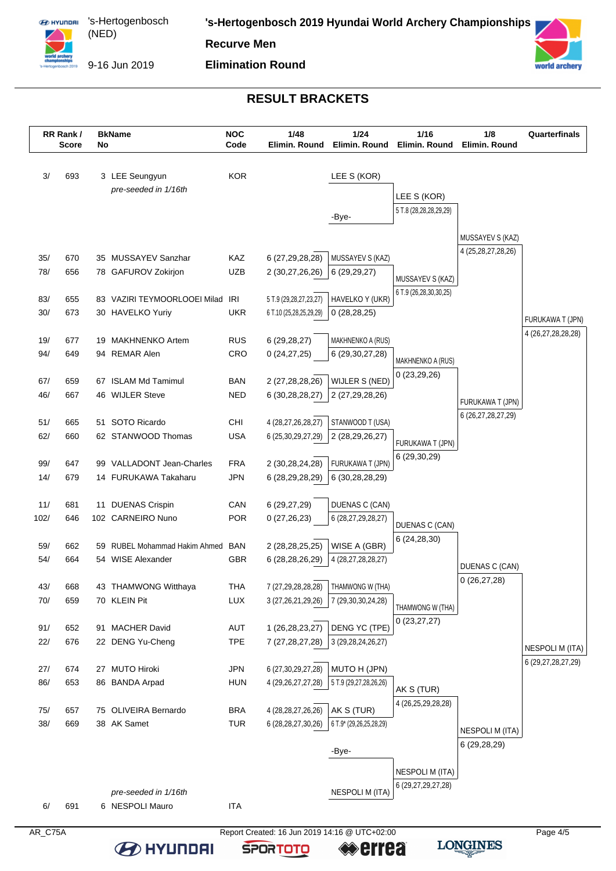

**ED HYUNDRI** 's-Hertogenbosch (NED) 

**'s-Hertogenbosch 2019 Hyundai World Archery Championships**

**Recurve Men**

9-16 Jun 2019

**Elimination Round**



# **RESULT BRACKETS**

|            | RR Rank/<br><b>Score</b> | No | <b>BkName</b>                                          | <b>NOC</b><br>Code       | 1/48<br>Elimin. Round                         | 1/24<br>Elimin, Round               | 1/16<br>Elimin. Round            | 1/8<br>Elimin. Round                   | Quarterfinals                          |
|------------|--------------------------|----|--------------------------------------------------------|--------------------------|-----------------------------------------------|-------------------------------------|----------------------------------|----------------------------------------|----------------------------------------|
|            |                          |    |                                                        |                          |                                               |                                     |                                  |                                        |                                        |
| 3/         | 693                      |    | 3 LEE Seungyun                                         | <b>KOR</b>               |                                               | LEE S (KOR)                         |                                  |                                        |                                        |
|            |                          |    | pre-seeded in 1/16th                                   |                          |                                               |                                     | LEE S (KOR)                      |                                        |                                        |
|            |                          |    |                                                        |                          |                                               | -Bye-                               | 5 T.8 (28,28,28,29,29)           |                                        |                                        |
|            |                          |    |                                                        |                          |                                               |                                     |                                  |                                        |                                        |
|            |                          |    |                                                        |                          |                                               |                                     |                                  | MUSSAYEV S (KAZ)<br>4 (25,28,27,28,26) |                                        |
| 35/        | 670                      |    | 35 MUSSAYEV Sanzhar                                    | KAZ                      | 6 (27,29,28,28)                               | MUSSAYEV S (KAZ)                    |                                  |                                        |                                        |
| 78/        | 656                      |    | 78 GAFUROV Zokirjon                                    | <b>UZB</b>               | 2 (30,27,26,26)                               | 6 (29,29,27)                        | MUSSAYEV S (KAZ)                 |                                        |                                        |
| 83/        | 655                      |    | 83 VAZIRI TEYMOORLOOEI Milad                           | IRI                      | 5 T.9 (29,28,27,23,27)                        | HAVELKO Y (UKR)                     | 6 T.9 (26,28,30,30,25)           |                                        |                                        |
| 30/        | 673                      |    | 30 HAVELKO Yuriy                                       | <b>UKR</b>               | 6 T.10 (25,28,25,29,29)                       | 0(28, 28, 25)                       |                                  |                                        |                                        |
|            |                          |    |                                                        |                          |                                               |                                     |                                  |                                        | FURUKAWA T (JPN)<br>4 (26,27,28,28,28) |
| 19/        | 677                      |    | 19 MAKHNENKO Artem                                     | <b>RUS</b>               | 6(29, 28, 27)                                 | MAKHNENKO A (RUS)                   |                                  |                                        |                                        |
| 94/        | 649                      |    | 94 REMAR Alen                                          | CRO                      | 0(24,27,25)                                   | 6 (29, 30, 27, 28)                  | MAKHNENKO A (RUS)                |                                        |                                        |
| 67/        | 659                      | 67 | <b>ISLAM Md Tamimul</b>                                | <b>BAN</b>               | 2 (27,28,28,26)                               | WIJLER S (NED)                      | 0(23,29,26)                      |                                        |                                        |
| 46/        | 667                      | 46 | <b>WIJLER Steve</b>                                    | <b>NED</b>               | 6 (30,28,28,27)                               | 2 (27,29,28,26)                     |                                  |                                        |                                        |
|            |                          |    |                                                        |                          |                                               |                                     |                                  | FURUKAWA T (JPN)                       |                                        |
| 51/        | 665                      |    | 51 SOTO Ricardo                                        | CHI                      | 4 (28,27,26,28,27)                            | STANWOOD T (USA)                    |                                  | 6 (26,27,28,27,29)                     |                                        |
| 62/        | 660                      |    | 62 STANWOOD Thomas                                     | <b>USA</b>               | 6 (25, 30, 29, 27, 29)                        | 2 (28,29,26,27)                     | FURUKAWA T (JPN)                 |                                        |                                        |
|            |                          |    |                                                        |                          |                                               |                                     | 6 (29,30,29)                     |                                        |                                        |
| 99/<br>14/ | 647<br>679               |    | 99 VALLADONT Jean-Charles<br>14 FURUKAWA Takaharu      | <b>FRA</b><br><b>JPN</b> | 2 (30,28,24,28)<br>6 (28,29,28,29)            | FURUKAWA T (JPN)<br>6 (30,28,28,29) |                                  |                                        |                                        |
|            |                          |    |                                                        |                          |                                               |                                     |                                  |                                        |                                        |
| 11/        | 681                      |    | 11 DUENAS Crispin                                      | CAN                      | 6(29, 27, 29)                                 | DUENAS C (CAN)                      |                                  |                                        |                                        |
| 102/       | 646                      |    | 102 CARNEIRO Nuno                                      | <b>POR</b>               | 0(27,26,23)                                   | 6 (28,27,29,28,27)                  | <b>DUENAS C (CAN)</b>            |                                        |                                        |
|            |                          |    |                                                        |                          |                                               |                                     | 6(24, 28, 30)                    |                                        |                                        |
| 59/<br>54/ | 662                      | 59 | <b>RUBEL Mohammad Hakim Ahmed</b><br>54 WISE Alexander | <b>BAN</b>               | 2 (28, 28, 25, 25)                            | WISE A (GBR)                        |                                  |                                        |                                        |
|            | 664                      |    |                                                        | <b>GBR</b>               | 6 (28,28,26,29)                               | 4 (28,27,28,28,27)                  |                                  | DUENAS C (CAN)                         |                                        |
| 43/        | 668                      |    | 43 THAMWONG Witthaya                                   | <b>THA</b>               | 7 (27,29,28,28,28)                            | THAMWONG W (THA)                    |                                  | 0(26, 27, 28)                          |                                        |
| 70/        | 659                      |    | 70 KLEIN Pit                                           | <b>LUX</b>               | 3 (27,26,21,29,26)                            | 7 (29,30,30,24,28)                  | THAMWONG W (THA)                 |                                        |                                        |
|            |                          |    |                                                        |                          |                                               |                                     | 0(23, 27, 27)                    |                                        |                                        |
| 91/        | 652                      |    | 91 MACHER David                                        | AUT                      | 1 (26,28,23,27)                               | DENG YC (TPE)                       |                                  |                                        |                                        |
| 22/        | 676                      |    | 22 DENG Yu-Cheng                                       | <b>TPE</b>               | 7 (27,28,27,28)                               | 3 (29, 28, 24, 26, 27)              |                                  |                                        | NESPOLI M (ITA)                        |
| 27/        | 674                      |    | 27 MUTO Hiroki                                         | <b>JPN</b>               | 6 (27,30,29,27,28)                            | MUTO H (JPN)                        |                                  |                                        | 6 (29,27,28,27,29)                     |
| 86/        | 653                      |    | 86 BANDA Arpad                                         | <b>HUN</b>               | 4 (29, 26, 27, 27, 28)                        | 5 T.9 (29,27,28,26,26)              |                                  |                                        |                                        |
|            |                          |    |                                                        |                          |                                               |                                     | AK S (TUR)<br>4 (26,25,29,28,28) |                                        |                                        |
| 75/        | 657                      |    | 75 OLIVEIRA Bernardo                                   | <b>BRA</b>               | 4 (28, 28, 27, 26, 26)                        | AK S (TUR)                          |                                  |                                        |                                        |
| 38/        | 669                      |    | 38 AK Samet                                            | <b>TUR</b>               | 6 (28, 28, 27, 30, 26)                        | 6 T.9* (29,26,25,28,29)             |                                  | NESPOLI M (ITA)                        |                                        |
|            |                          |    |                                                        |                          |                                               |                                     |                                  | 6 (29,28,29)                           |                                        |
|            |                          |    |                                                        |                          |                                               | -Bye-                               |                                  |                                        |                                        |
|            |                          |    |                                                        |                          |                                               |                                     | <b>NESPOLI M (ITA)</b>           |                                        |                                        |
|            |                          |    | pre-seeded in 1/16th                                   |                          |                                               | <b>NESPOLI M (ITA)</b>              | 6 (29, 27, 29, 27, 28)           |                                        |                                        |
| 6/         | 691                      |    | 6 NESPOLI Mauro                                        | <b>ITA</b>               |                                               |                                     |                                  |                                        |                                        |
| AR_C75A    |                          |    |                                                        |                          | Report Created: 16 Jun 2019 14:16 @ UTC+02:00 |                                     |                                  |                                        | Page 4/5                               |

**errea** 

**SPORTOTO** 

**B** HYUNDAI

**LONGINES**